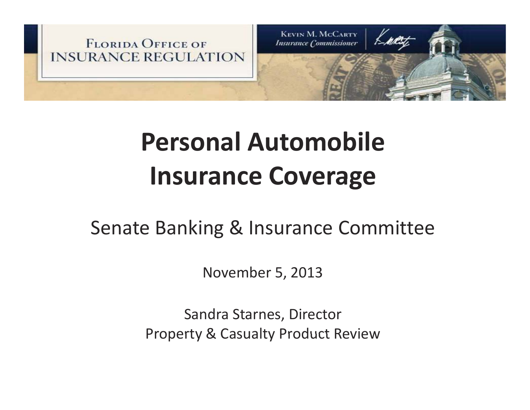

# **Personal AutomobileInsurance Coverage**

### Senate Banking & Insurance Committee

November 5, 2013

Sandra Starnes, Director Property & Casualty Product Review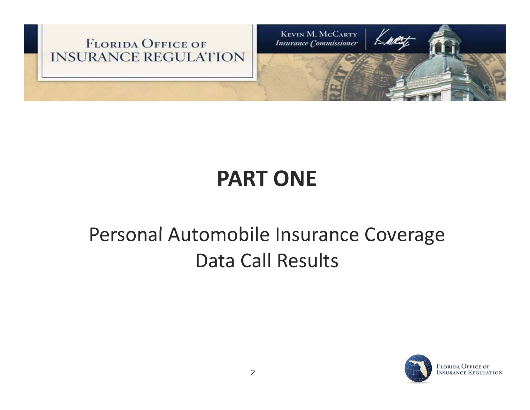

#### **PART ONE**

### Personal Automobile Insurance Coverage Data Call Results

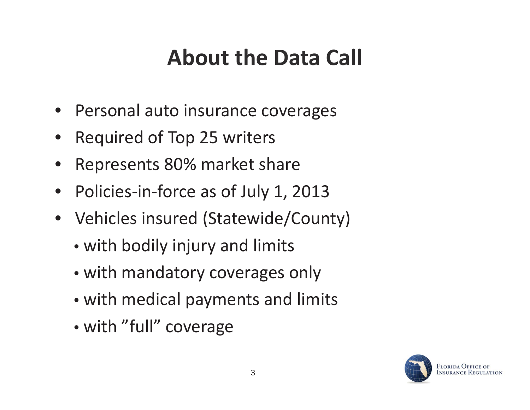## **About the Data Call**

- •Personal auto insurance coverages
- •Required of Top 25 writers
- •Represents 80% market share
- $\bullet$ • Policies-in-force as of July 1, 2013
- $\bullet$  Vehicles insured (Statewide/County)
	- with bodily injury and limits
	- with mandatory coverages only
	- with medical payments and limits
	- with "full" coverage

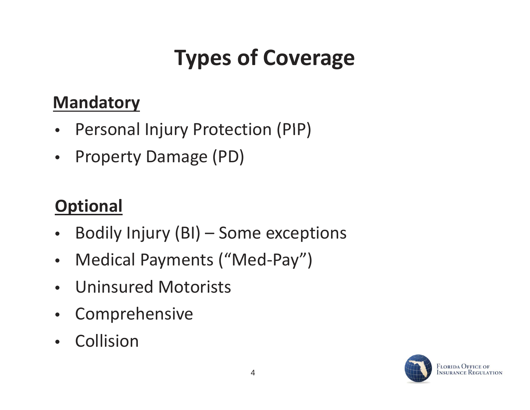# **Types of Coverage**

#### **Mandatory**

- $\bullet$ Personal Injury Protection (PIP)
- $\bullet$ Property Damage (PD)

### **Optional**

- $\bullet$ Bodily Injury  $(BI)$  – Some exceptions
- $\bullet$ Medical Payments ("Med-Pay")
- •• Uninsured Motorists
- $\bullet$ Comprehensive
- Collision

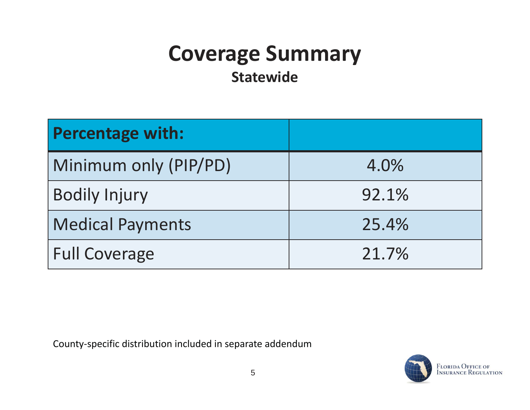## **Coverage Summary**

**Statewide**

| <b>Percentage with:</b> |       |
|-------------------------|-------|
| Minimum only (PIP/PD)   | 4.0%  |
| <b>Bodily Injury</b>    | 92.1% |
| <b>Medical Payments</b> | 25.4% |
| <b>Full Coverage</b>    | 21.7% |

County-specific distribution included in separate addendum

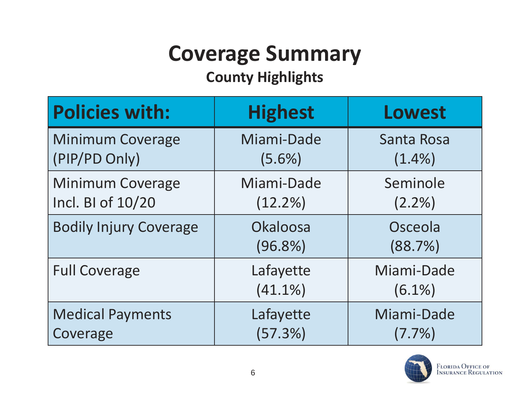# **Coverage Summary**

#### **County Highlights**

| <b>Policies with:</b>         | <b>Highest</b>          | Lowest                  |
|-------------------------------|-------------------------|-------------------------|
| <b>Minimum Coverage</b>       | Miami-Dade              | Santa Rosa              |
| (PIP/PD Only)                 | $(5.6\%)$               | $(1.4\%)$               |
| <b>Minimum Coverage</b>       | Miami-Dade              | Seminole                |
| Incl. BI of 10/20             | $(12.2\%)$              | $(2.2\%)$               |
| <b>Bodily Injury Coverage</b> | Okaloosa<br>$(96.8\%)$  | Osceola<br>(88.7%)      |
| <b>Full Coverage</b>          | Lafayette<br>$(41.1\%)$ | Miami-Dade<br>$(6.1\%)$ |
| <b>Medical Payments</b>       | Lafayette               | Miami-Dade              |
| Coverage                      | (57.3%)                 | $(7.7\%)$               |

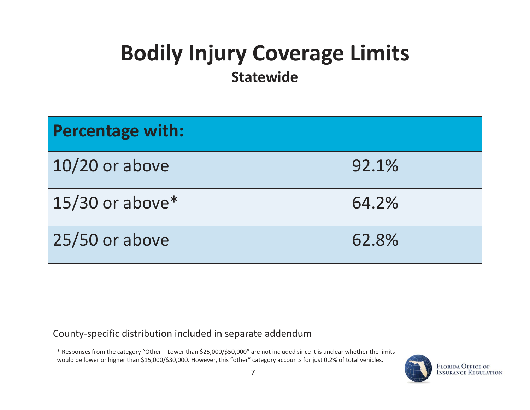# **Bodily Injury Coverage Limits**

**Statewide**

| <b>Percentage with:</b> |       |
|-------------------------|-------|
| $10/20$ or above        | 92.1% |
| $15/30$ or above*       | 64.2% |
| 25/50 or above          | 62.8% |

County-specific distribution included in separate addendum

\* Responses from the category "Other – Lower than \$25,000/\$50,000" are not included since it is unclear whether the limits would be lower or higher than \$15,000/\$30,000. However, this "other" category accounts for just 0.2% of total vehicles.

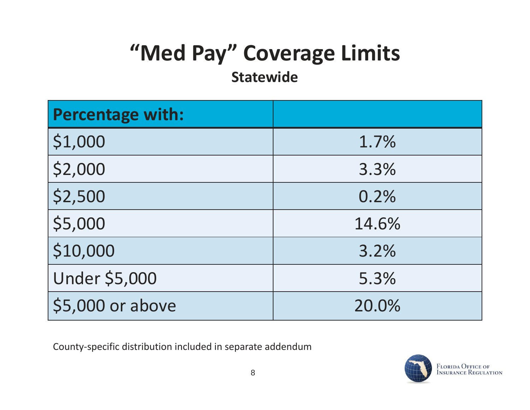# **"Med Pay" Coverage Limits**

#### **Statewide**

| <b>Percentage with:</b> |       |
|-------------------------|-------|
| \$1,000                 | 1.7%  |
| \$2,000                 | 3.3%  |
| \$2,500                 | 0.2%  |
| \$5,000                 | 14.6% |
| \$10,000                | 3.2%  |
| <b>Under \$5,000</b>    | 5.3%  |
| \$5,000 or above        | 20.0% |

County-specific distribution included in separate addendum

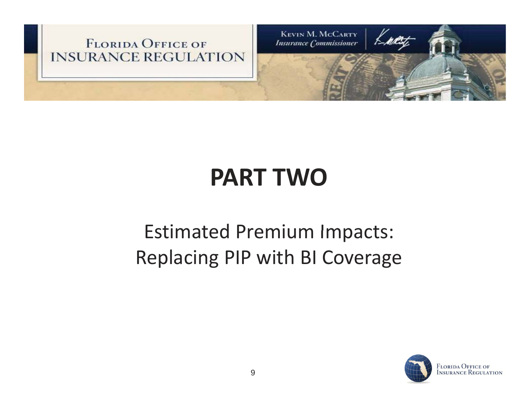

# **PART TWO**

## **Estimated Premium Impacts:** Replacing PIP with BI Coverage

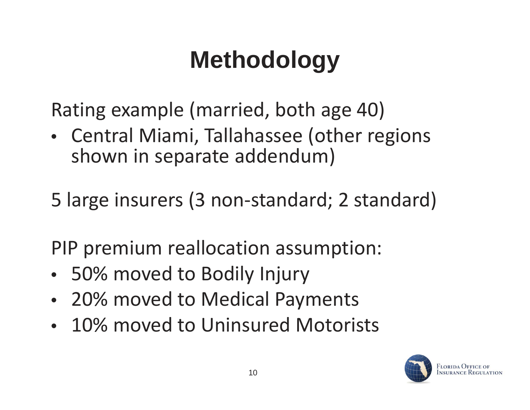# **Methodology**

Rating example (married, both age 40)

• Central Miami, Tallahassee (other regions shown in separate addendum)

5 large insurers (3 non-standard; 2 standard)

PIP premium reallocation assumption:

- 50% moved to Bodily Injury
- 20% moved to Medical Payments
- 10% moved to Uninsured Motorists

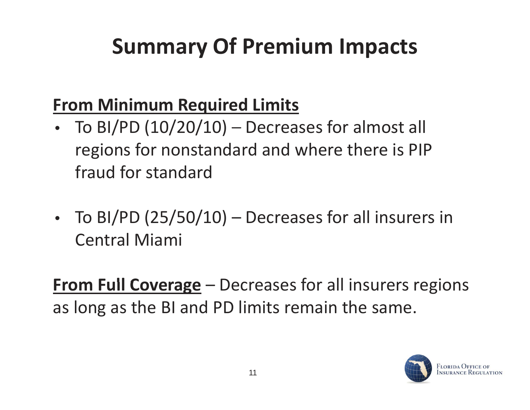## **Summary Of Premium Impacts**

### **From Minimum Required Limits**

- •To BI/PD  $(10/20/10)$  – Decreases for almost all regions for nonstandard and where there is PIP fraud for standard
- $\bullet$  To BI/PD (25/50/10) – Decreases for all insurers in Central Miami

**From Full Coverage** – Decreases for all insurers regions as long as the BI and PD limits remain the same.

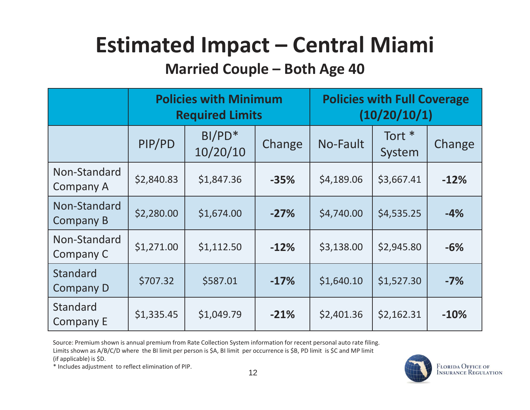## **Estimated Impact – Central Miami**

#### **Married Couple – Both Age 40**

|                                     | <b>Policies with Minimum</b><br><b>Required Limits</b> |                      | <b>Policies with Full Coverage</b><br>(10/20/10/1) |            |                             |        |
|-------------------------------------|--------------------------------------------------------|----------------------|----------------------------------------------------|------------|-----------------------------|--------|
|                                     | PIP/PD                                                 | $BI/PD*$<br>10/20/10 | Change                                             | No-Fault   | Tort <sup>*</sup><br>System | Change |
| Non-Standard<br><b>Company A</b>    | \$2,840.83                                             | \$1,847.36           | $-35%$                                             | \$4,189.06 | \$3,667.41                  | $-12%$ |
| Non-Standard<br><b>Company B</b>    | \$2,280.00                                             | \$1,674.00           | $-27%$                                             | \$4,740.00 | \$4,535.25                  | $-4%$  |
| Non-Standard<br>Company C           | \$1,271.00                                             | \$1,112.50           | $-12%$                                             | \$3,138.00 | \$2,945.80                  | $-6%$  |
| <b>Standard</b><br><b>Company D</b> | \$707.32                                               | \$587.01             | $-17%$                                             | \$1,640.10 | \$1,527.30                  | $-7%$  |
| <b>Standard</b><br><b>Company E</b> | \$1,335.45                                             | \$1,049.79           | $-21%$                                             | \$2,401.36 | \$2,162.31                  | $-10%$ |

Source: Premium shown is annual premium from Rate Collection System information for recent personal auto rate filing. Limits shown as A/B/C/D where the BI limit per person is \$A, BI limit per occurrence is \$B, PD limit is \$C and MP limit

(if applicable) is \$D.

\* Includes adjustment to reflect elimination of PIP.

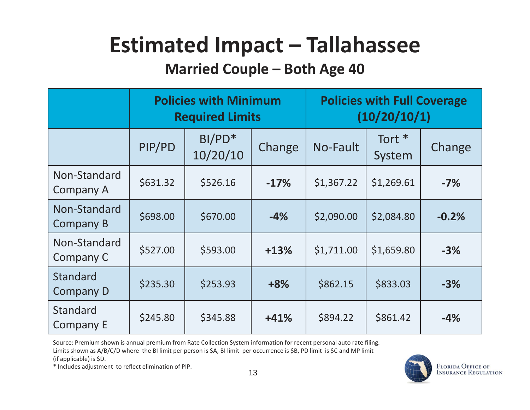## **Estimated Impact – Tallahassee**

#### **Married Couple – Both Age 40**

|                                     | <b>Policies with Minimum</b><br><b>Required Limits</b> |                      |        | <b>Policies with Full Coverage</b><br>(10/20/10/1) |                             |         |
|-------------------------------------|--------------------------------------------------------|----------------------|--------|----------------------------------------------------|-----------------------------|---------|
|                                     | PIP/PD                                                 | $BI/PD*$<br>10/20/10 | Change | No-Fault                                           | Tort <sup>*</sup><br>System | Change  |
| Non-Standard<br><b>Company A</b>    | \$631.32                                               | \$526.16             | $-17%$ | \$1,367.22                                         | \$1,269.61                  | $-7%$   |
| Non-Standard<br><b>Company B</b>    | \$698.00                                               | \$670.00             | $-4%$  | \$2,090.00                                         | \$2,084.80                  | $-0.2%$ |
| Non-Standard<br>Company C           | \$527.00                                               | \$593.00             | $+13%$ | \$1,711.00                                         | \$1,659.80                  | $-3%$   |
| <b>Standard</b><br><b>Company D</b> | \$235.30                                               | \$253.93             | $+8%$  | \$862.15                                           | \$833.03                    | $-3%$   |
| <b>Standard</b><br><b>Company E</b> | \$245.80                                               | \$345.88             | $+41%$ | \$894.22                                           | \$861.42                    | $-4%$   |

Source: Premium shown is annual premium from Rate Collection System information for recent personal auto rate filing. Limits shown as A/B/C/D where the BI limit per person is \$A, BI limit per occurrence is \$B, PD limit is \$C and MP limit

(if applicable) is \$D.

 $*$  Includes adjustment to reflect elimination of PIP.  $13$ 

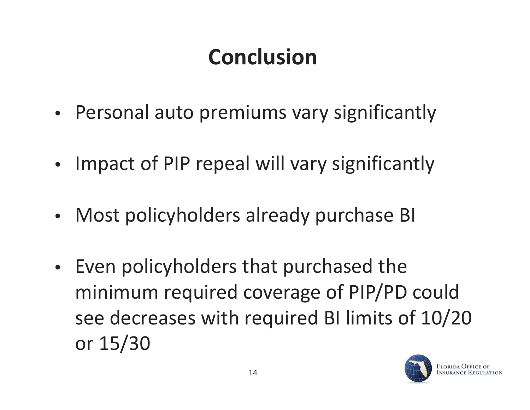# **Conclusion**

- Personal auto premiums vary significantly
- $\bullet$ Impact of PIP repeal will vary significantly
- •Most policyholders already purchase BI
- $\bullet$ • Even policyholders that purchased the minimum required coverage of PIP/PD could see decreases with required BI limits of 10/20 or 15/30